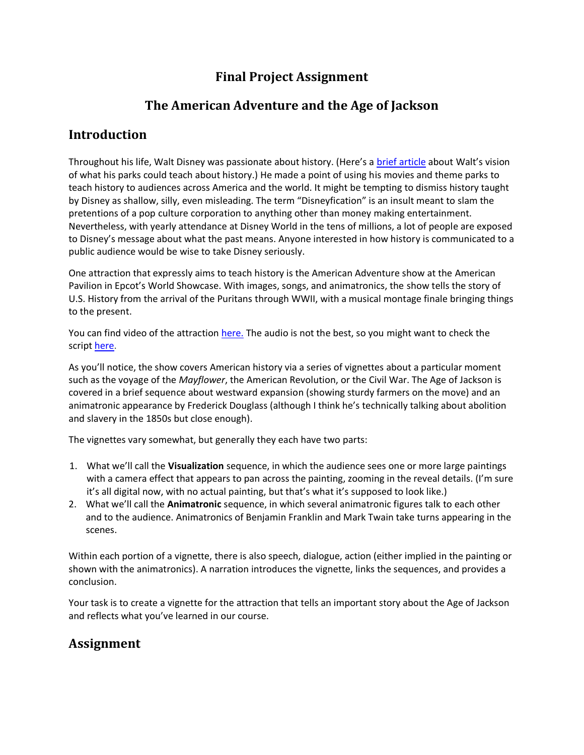## **Final Project Assignment**

## **The American Adventure and the Age of Jackson**

#### **Introduction**

Throughout his life, Walt Disney was passionate about history. (Here's a [brief article](http://po.st/B1VfuO) about Walt's vision of what his parks could teach about history.) He made a point of using his movies and theme parks to teach history to audiences across America and the world. It might be tempting to dismiss history taught by Disney as shallow, silly, even misleading. The term "Disneyfication" is an insult meant to slam the pretentions of a pop culture corporation to anything other than money making entertainment. Nevertheless, with yearly attendance at Disney World in the tens of millions, a lot of people are exposed to Disney's message about what the past means. Anyone interested in how history is communicated to a public audience would be wise to take Disney seriously.

One attraction that expressly aims to teach history is the American Adventure show at the American Pavilion in Epcot's World Showcase. With images, songs, and animatronics, the show tells the story of U.S. History from the arrival of the Puritans through WWII, with a musical montage finale bringing things to the present.

You can find video of the attraction here. The audio is not the best, so you might want to check the script here.

As you'll notice, the show covers American history via a series of vignettes about a particular moment such as the voyage of the *Mayflower*, the American Revolution, or the Civil War. The Age of Jackson is covered in a brief sequence about westward expansion (showing sturdy farmers on the move) and an animatronic appearance by Frederick Douglass (although I think he's technically talking about abolition and slavery in the 1850s but close enough).

The vignettes vary somewhat, but generally they each have two parts:

- 1. What we'll call the **Visualization** sequence, in which the audience sees one or more large paintings with a camera effect that appears to pan across the painting, zooming in the reveal details. (I'm sure it's all digital now, with no actual painting, but that's what it's supposed to look like.)
- 2. What we'll call the **Animatronic** sequence, in which several animatronic figures talk to each other and to the audience. Animatronics of Benjamin Franklin and Mark Twain take turns appearing in the scenes.

Within each portion of a vignette, there is also speech, dialogue, action (either implied in the painting or shown with the animatronics). A narration introduces the vignette, links the sequences, and provides a conclusion.

Your task is to create a vignette for the attraction that tells an important story about the Age of Jackson and reflects what you've learned in our course.

## **Assignment**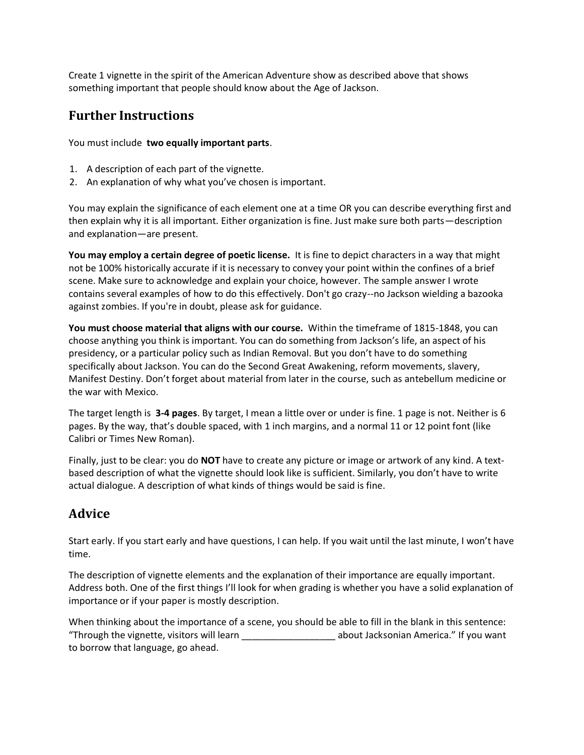Create 1 vignette in the spirit of the American Adventure show as described above that shows something important that people should know about the Age of Jackson.

#### **Further Instructions**

You must include **two equally important parts**.

- 1. A description of each part of the vignette.
- 2. An explanation of why what you've chosen is important.

You may explain the significance of each element one at a time OR you can describe everything first and then explain why it is all important. Either organization is fine. Just make sure both parts—description and explanation—are present.

**You may employ a certain degree of poetic license.** It is fine to depict characters in a way that might not be 100% historically accurate if it is necessary to convey your point within the confines of a brief scene. Make sure to acknowledge and explain your choice, however. The sample answer I wrote contains several examples of how to do this effectively. Don't go crazy--no Jackson wielding a bazooka against zombies. If you're in doubt, please ask for guidance.

**You must choose material that aligns with our course.** Within the timeframe of 1815-1848, you can choose anything you think is important. You can do something from Jackson's life, an aspect of his presidency, or a particular policy such as Indian Removal. But you don't have to do something specifically about Jackson. You can do the Second Great Awakening, reform movements, slavery, Manifest Destiny. Don't forget about material from later in the course, such as antebellum medicine or the war with Mexico.

The target length is **3-4 pages**. By target, I mean a little over or under is fine. 1 page is not. Neither is 6 pages. By the way, that's double spaced, with 1 inch margins, and a normal 11 or 12 point font (like Calibri or Times New Roman).

Finally, just to be clear: you do **NOT** have to create any picture or image or artwork of any kind. A textbased description of what the vignette should look like is sufficient. Similarly, you don't have to write actual dialogue. A description of what kinds of things would be said is fine.

## **Advice**

Start early. If you start early and have questions, I can help. If you wait until the last minute, I won't have time.

The description of vignette elements and the explanation of their importance are equally important. Address both. One of the first things I'll look for when grading is whether you have a solid explanation of importance or if your paper is mostly description.

When thinking about the importance of a scene, you should be able to fill in the blank in this sentence: "Through the vignette, visitors will learn \_\_\_\_\_\_\_\_\_\_\_\_\_\_\_\_\_\_ about Jacksonian America." If you want to borrow that language, go ahead.